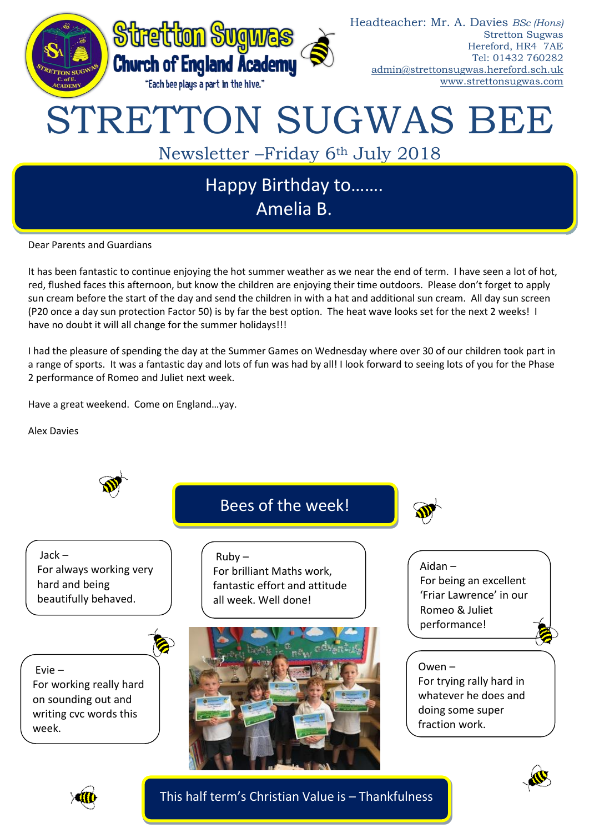

Dear Parents and Guardians

It has been fantastic to continue enjoying the hot summer weather as we near the end of term. I have seen a lot of hot, red, flushed faces this afternoon, but know the children are enjoying their time outdoors. Please don't forget to apply sun cream before the start of the day and send the children in with a hat and additional sun cream. All day sun screen (P20 once a day sun protection Factor 50) is by far the best option. The heat wave looks set for the next 2 weeks! I have no doubt it will all change for the summer holidays!!!

I had the pleasure of spending the day at the Summer Games on Wednesday where over 30 of our children took part in a range of sports. It was a fantastic day and lots of fun was had by all! I look forward to seeing lots of you for the Phase 2 performance of Romeo and Juliet next week.

Have a great weekend. Come on England…yay.

Alex Davies





This half term's Christian Value is – Thankfulness